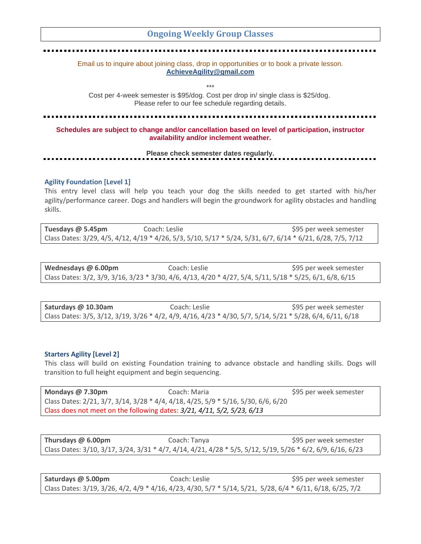# **Ongoing Weekly Group Classes**

Email us to inquire about joining class, drop in opportunities or to book a private lesson. **[AchieveAgility@gmail.com](mailto:AchieveAgility@gmail.com)**

\*\*\*

Cost per 4-week semester is \$95/dog. Cost per drop in/ single class is \$25/dog. Please refer to our fee schedule regarding details.

**Schedules are subject to change and/or cancellation based on level of participation, instructor availability and/or inclement weather.**

**Please check semester dates regularly.**

# **Agility Foundation [Level 1]**

This entry level class will help you teach your dog the skills needed to get started with his/her agility/performance career. Dogs and handlers will begin the groundwork for agility obstacles and handling skills.

**Tuesdays @ 5.45pm** Coach: Leslie \$95 per week semester Class Dates: 3/29, 4/5, 4/12, 4/19 \* 4/26, 5/3, 5/10, 5/17 \* 5/24, 5/31, 6/7, 6/14 \* 6/21, 6/28, 7/5, 7/12

**Wednesdays** @ 6.00pm **Coach: Leslie \$95 per week semester** \$95 per week semester Class Dates: 3/2, 3/9, 3/16, 3/23 \* 3/30, 4/6, 4/13, 4/20 \* 4/27, 5/4, 5/11, 5/18 \* 5/25, 6/1, 6/8, 6/15

| Saturdays @ 10.30am | Coach: Leslie | \$95 per week semester                                                                                    |
|---------------------|---------------|-----------------------------------------------------------------------------------------------------------|
|                     |               | Class Dates: 3/5, 3/12, 3/19, 3/26 * 4/2, 4/9, 4/16, 4/23 * 4/30, 5/7, 5/14, 5/21 * 5/28, 6/4, 6/11, 6/18 |

## **Starters Agility [Level 2]**

This class will build on existing Foundation training to advance obstacle and handling skills. Dogs will transition to full height equipment and begin sequencing.

| Mondays @ 7.30pm                                                                  | Coach: Maria | \$95 per week semester |  |  |
|-----------------------------------------------------------------------------------|--------------|------------------------|--|--|
| Class Dates: 2/21, 3/7, 3/14, 3/28 * 4/4, 4/18, 4/25, 5/9 * 5/16, 5/30, 6/6, 6/20 |              |                        |  |  |
| Class does not meet on the following dates: 3/21, 4/11, 5/2, 5/23, 6/13           |              |                        |  |  |

**Thursdays @ 6.00pm** Coach: Tanya **\$95 per week semester** Class Dates: 3/10, 3/17, 3/24, 3/31 \* 4/7, 4/14, 4/21, 4/28 \* 5/5, 5/12, 5/19, 5/26 \* 6/2, 6/9, 6/16, 6/23

**Saturdays @ 5.00pm** Coach: Leslie **\$95 per week semester** \$95 per week semester Class Dates: 3/19, 3/26, 4/2, 4/9 \* 4/16, 4/23, 4/30, 5/7 \* 5/14, 5/21, 5/28, 6/4 \* 6/11, 6/18, 6/25, 7/2